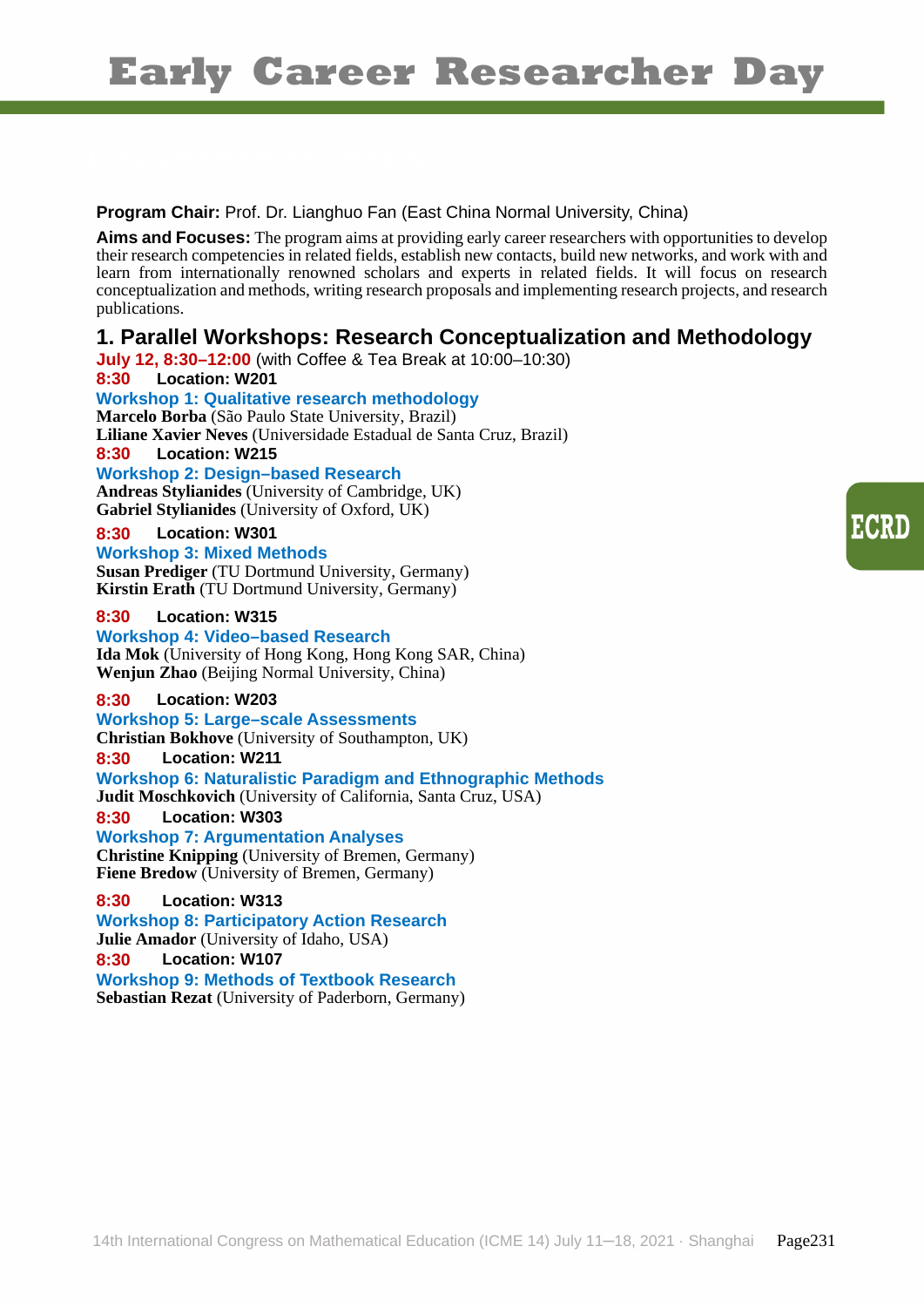**Program Chair:** Prof. Dr. Lianghuo Fan (East China Normal University, China)

**Aims and Focuses:** The program aims at providing early career researchers with opportunities to develop their research competencies in related fields, establish new contacts, build new networks, and work with and learn from internationally renowned scholars and experts in related fields. It will focus on research conceptualization and methods, writing research proposals and implementing research projects, and research publications.

# **1. Parallel Workshops: Research Conceptualization and Methodology**

**July 12, 8:30–12:00** (with Coffee & Tea Break at 10:00–10:30) **8:30 Location: W201 Workshop 1: Qualitative research methodology Marcelo Borba** (São Paulo State University, Brazil) **Liliane Xavier Neves** (Universidade Estadual de Santa Cruz, Brazil) **8:30 Location: W215 Workshop 2: Design–based Research**

**Andreas Stylianides** (University of Cambridge, UK) **Gabriel Stylianides** (University of Oxford, UK)

#### **8:30 Location: W301**

#### **Workshop 3: Mixed Methods**

**Susan Prediger** (TU Dortmund University, Germany) **Kirstin Erath** (TU Dortmund University, Germany)

#### **8:30 Location: W315**

**Workshop 4: Video–based Research Ida Mok** (University of Hong Kong, Hong Kong SAR, China) **Wenjun Zhao** (Beijing Normal University, China)

#### **8:30 Location: W203**

#### **Workshop 5: Large–scale Assessments**

**Christian Bokhove** (University of Southampton, UK)

#### **8:30 Location: W211**

**Workshop 6: Naturalistic Paradigm and Ethnographic Methods**

**Judit Moschkovich** (University of California, Santa Cruz, USA)

**8:30 Location: W303**

# **Workshop 7: Argumentation Analyses**

**Christine Knipping** (University of Bremen, Germany) **Fiene Bredow** (University of Bremen, Germany)

## **8:30 Location: W313**

**Workshop 8: Participatory Action Research**

**Julie Amador** (University of Idaho, USA)

# **8:30 Location: W107**

**Workshop 9: Methods of Textbook Research Sebastian Rezat** (University of Paderborn, Germany)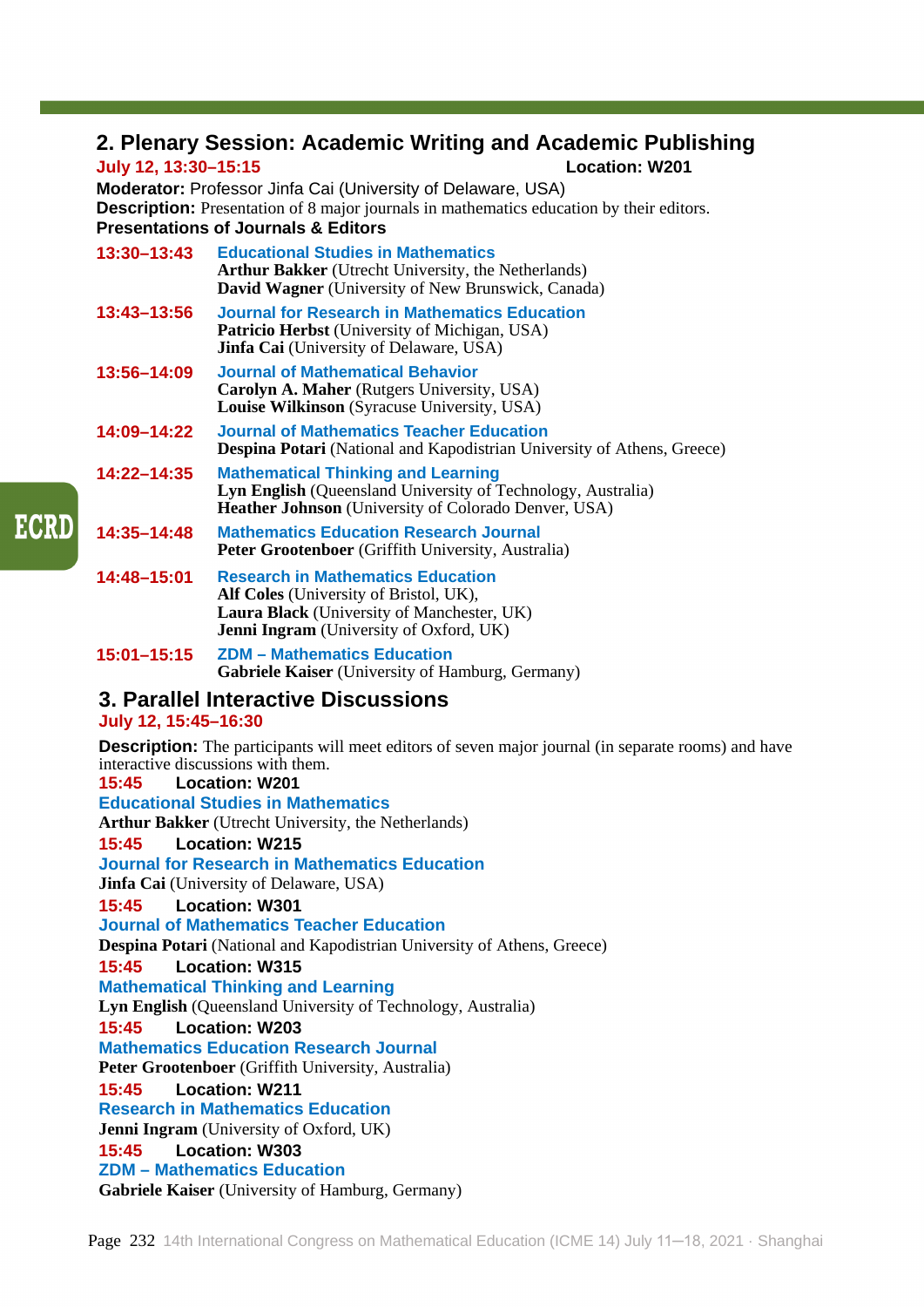# **2. Plenary Session: Academic Writing and Academic Publishing**

# **July 12, 13:30–15:15 Location: W201**

**Moderator:** Professor Jinfa Cai (University of Delaware, USA) **Description:** Presentation of 8 major journals in mathematics education by their editors. **Presentations of Journals & Editors**

| 13:30-13:43     | <b>Educational Studies in Mathematics</b><br><b>Arthur Bakker</b> (Utrecht University, the Netherlands)<br><b>David Wagner</b> (University of New Brunswick, Canada)                      |
|-----------------|-------------------------------------------------------------------------------------------------------------------------------------------------------------------------------------------|
| $13:43 - 13:56$ | Journal for Research in Mathematics Education<br><b>Patricio Herbst</b> (University of Michigan, USA)<br><b>Jinfa Cai</b> (University of Delaware, USA)                                   |
| 13:56-14:09     | <b>Journal of Mathematical Behavior</b><br><b>Carolyn A. Maher</b> (Rutgers University, USA)<br><b>Louise Wilkinson</b> (Syracuse University, USA)                                        |
| 14:09–14:22     | <b>Journal of Mathematics Teacher Education</b><br><b>Despina Potari</b> (National and Kapodistrian University of Athens, Greece)                                                         |
| $14:22 - 14:35$ | <b>Mathematical Thinking and Learning</b><br><b>Lyn English</b> (Queensland University of Technology, Australia)<br><b>Heather Johnson</b> (University of Colorado Denver, USA)           |
| 14:35–14:48     | <b>Mathematics Education Research Journal</b><br><b>Peter Grootenboer</b> (Griffith University, Australia)                                                                                |
| 14:48–15:01     | <b>Research in Mathematics Education</b><br><b>Alf Coles</b> (University of Bristol, UK),<br>Laura Black (University of Manchester, UK)<br><b>Jenni Ingram</b> (University of Oxford, UK) |

**15:01–15:15 ZDM – Mathematics Education Gabriele Kaiser** (University of Hamburg, Germany)

# **3. Parallel Interactive Discussions**

## **July 12, 15:45–16:30**

**Description:** The participants will meet editors of seven major journal (in separate rooms) and have interactive discussions with them.

**15:45 Location: W201 Educational Studies in Mathematics** 

**Arthur Bakker** (Utrecht University, the Netherlands)

## **15:45 Location: W215**

**Journal for Research in Mathematics Education**

**Jinfa Cai** (University of Delaware, USA)

# **15:45 Location: W301**

# **Journal of Mathematics Teacher Education**

**Despina Potari** (National and Kapodistrian University of Athens, Greece)

#### **15:45 Location: W315**

**Mathematical Thinking and Learning**

**Lyn English** (Queensland University of Technology, Australia)

#### **15:45 Location: W203**

**Mathematics Education Research Journal**

Peter Grootenboer (Griffith University, Australia)

**15:45 Location: W211**

## **Research in Mathematics Education**

**Jenni Ingram** (University of Oxford, UK)

#### **15:45 Location: W303**

**ZDM – Mathematics Education**

**Gabriele Kaiser** (University of Hamburg, Germany)